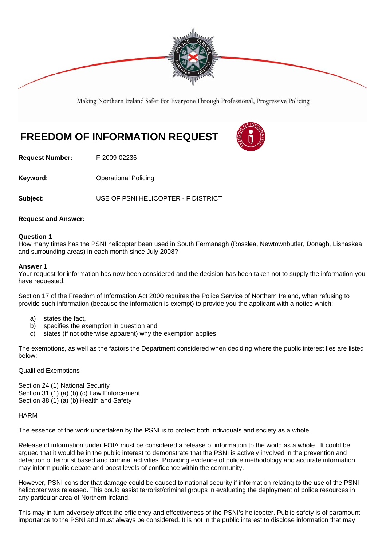

Making Northern Ireland Safer For Everyone Through Professional, Progressive Policing

# **FREEDOM OF INFORMATION REQUEST**



**Request Number:** F-2009-02236

**Keyword: Conservery Operational Policing** 

**Subject:** USE OF PSNI HELICOPTER - F DISTRICT

# **Request and Answer:**

# **Question 1**

How many times has the PSNI helicopter been used in South Fermanagh (Rosslea, Newtownbutler, Donagh, Lisnaskea and surrounding areas) in each month since July 2008?

# **Answer 1**

Your request for information has now been considered and the decision has been taken not to supply the information you have requested.

Section 17 of the Freedom of Information Act 2000 requires the Police Service of Northern Ireland, when refusing to provide such information (because the information is exempt) to provide you the applicant with a notice which:

- a) states the fact,
- b) specifies the exemption in question and
- c) states (if not otherwise apparent) why the exemption applies.

The exemptions, as well as the factors the Department considered when deciding where the public interest lies are listed below:

Qualified Exemptions

Section 24 (1) National Security Section 31 (1) (a) (b) (c) Law Enforcement Section 38 (1) (a) (b) Health and Safety

#### **HARM**

The essence of the work undertaken by the PSNI is to protect both individuals and society as a whole.

Release of information under FOIA must be considered a release of information to the world as a whole. It could be argued that it would be in the public interest to demonstrate that the PSNI is actively involved in the prevention and detection of terrorist based and criminal activities. Providing evidence of police methodology and accurate information may inform public debate and boost levels of confidence within the community.

However, PSNI consider that damage could be caused to national security if information relating to the use of the PSNI helicopter was released. This could assist terrorist/criminal groups in evaluating the deployment of police resources in any particular area of Northern Ireland.

This may in turn adversely affect the efficiency and effectiveness of the PSNI's helicopter. Public safety is of paramount importance to the PSNI and must always be considered. It is not in the public interest to disclose information that may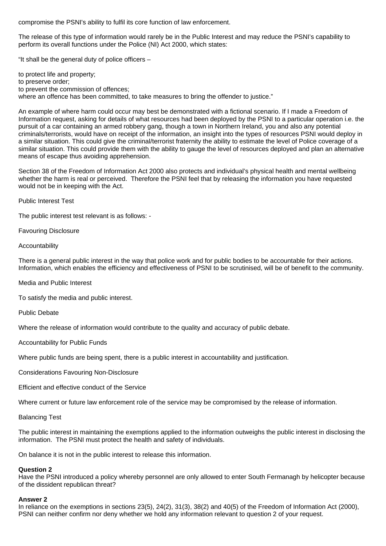compromise the PSNI's ability to fulfil its core function of law enforcement.

The release of this type of information would rarely be in the Public Interest and may reduce the PSNI's capability to perform its overall functions under the Police (NI) Act 2000, which states:

"It shall be the general duty of police officers –

to protect life and property; to preserve order; to prevent the commission of offences; where an offence has been committed, to take measures to bring the offender to justice."

An example of where harm could occur may best be demonstrated with a fictional scenario. If I made a Freedom of Information request, asking for details of what resources had been deployed by the PSNI to a particular operation i.e. the pursuit of a car containing an armed robbery gang, though a town in Northern Ireland, you and also any potential criminals/terrorists, would have on receipt of the information, an insight into the types of resources PSNI would deploy in a similar situation. This could give the criminal/terrorist fraternity the ability to estimate the level of Police coverage of a similar situation. This could provide them with the ability to gauge the level of resources deployed and plan an alternative means of escape thus avoiding apprehension.

Section 38 of the Freedom of Information Act 2000 also protects and individual's physical health and mental wellbeing whether the harm is real or perceived. Therefore the PSNI feel that by releasing the information you have requested would not be in keeping with the Act.

Public Interest Test

The public interest test relevant is as follows: -

Favouring Disclosure

Accountability

There is a general public interest in the way that police work and for public bodies to be accountable for their actions. Information, which enables the efficiency and effectiveness of PSNI to be scrutinised, will be of benefit to the community.

Media and Public Interest

To satisfy the media and public interest.

Public Debate

Where the release of information would contribute to the quality and accuracy of public debate.

Accountability for Public Funds

Where public funds are being spent, there is a public interest in accountability and justification.

Considerations Favouring Non-Disclosure

Efficient and effective conduct of the Service

Where current or future law enforcement role of the service may be compromised by the release of information.

Balancing Test

The public interest in maintaining the exemptions applied to the information outweighs the public interest in disclosing the information. The PSNI must protect the health and safety of individuals.

On balance it is not in the public interest to release this information.

#### **Question 2**

Have the PSNI introduced a policy whereby personnel are only allowed to enter South Fermanagh by helicopter because of the dissident republican threat?

## **Answer 2**

In reliance on the exemptions in sections 23(5), 24(2), 31(3), 38(2) and 40(5) of the Freedom of Information Act (2000), PSNI can neither confirm nor deny whether we hold any information relevant to question 2 of your request.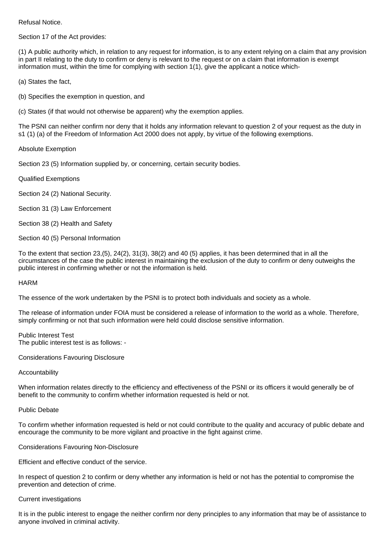Refusal Notice.

Section 17 of the Act provides:

(1) A public authority which, in relation to any request for information, is to any extent relying on a claim that any provision in part II relating to the duty to confirm or deny is relevant to the request or on a claim that information is exempt information must, within the time for complying with section 1(1), give the applicant a notice which-

(a) States the fact,

(b) Specifies the exemption in question, and

(c) States (if that would not otherwise be apparent) why the exemption applies.

The PSNI can neither confirm nor deny that it holds any information relevant to question 2 of your request as the duty in s1 (1) (a) of the Freedom of Information Act 2000 does not apply, by virtue of the following exemptions.

Absolute Exemption

Section 23 (5) Information supplied by, or concerning, certain security bodies.

Qualified Exemptions

Section 24 (2) National Security.

Section 31 (3) Law Enforcement

Section 38 (2) Health and Safety

Section 40 (5) Personal Information

To the extent that section 23,(5), 24(2), 31(3), 38(2) and 40 (5) applies, it has been determined that in all the circumstances of the case the public interest in maintaining the exclusion of the duty to confirm or deny outweighs the public interest in confirming whether or not the information is held.

#### HARM

The essence of the work undertaken by the PSNI is to protect both individuals and society as a whole.

The release of information under FOIA must be considered a release of information to the world as a whole. Therefore, simply confirming or not that such information were held could disclose sensitive information.

Public Interest Test The public interest test is as follows: -

Considerations Favouring Disclosure

#### Accountability

When information relates directly to the efficiency and effectiveness of the PSNI or its officers it would generally be of benefit to the community to confirm whether information requested is held or not.

# Public Debate

To confirm whether information requested is held or not could contribute to the quality and accuracy of public debate and encourage the community to be more vigilant and proactive in the fight against crime.

Considerations Favouring Non-Disclosure

Efficient and effective conduct of the service.

In respect of question 2 to confirm or deny whether any information is held or not has the potential to compromise the prevention and detection of crime.

#### Current investigations

It is in the public interest to engage the neither confirm nor deny principles to any information that may be of assistance to anyone involved in criminal activity.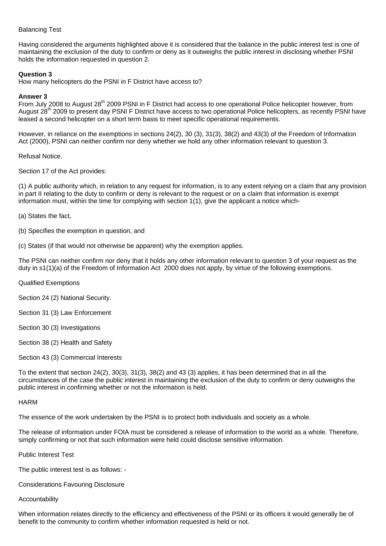# Balancing Test

Having considered the arguments highlighted above it is considered that the balance in the public interest test is one of maintaining the exclusion of the duty to confirm or deny as it outweighs the public interest in disclosing whether PSNI holds the information requested in question 2.

# **Question 3**

How many helicopters do the PSNI in F District have access to?

# **Answer 3**

From July 2008 to August 28<sup>th</sup> 2009 PSNI in F District had access to one operational Police helicopter however, from August 28<sup>th</sup> 2009 to present day PSNI F District have access to two operational Police helicopters, as recently PSNI have leased a second helicopter on a short term basis to meet specific operational requirements.

However, in reliance on the exemptions in sections 24(2), 30 (3), 31(3), 38(2) and 43(3) of the Freedom of Information Act (2000), PSNI can neither confirm nor deny whether we hold any other information relevant to question 3.

Refusal Notice.

Section 17 of the Act provides:

(1) A public authority which, in relation to any request for information, is to any extent relying on a claim that any provision in part II relating to the duty to confirm or deny is relevant to the request or on a claim that information is exempt information must, within the time for complying with section 1(1), give the applicant a notice which-

(a) States the fact,

(b) Specifies the exemption in question, and

(c) States (if that would not otherwise be apparent) why the exemption applies.

The PSNI can neither confirm nor deny that it holds any other information relevant to question 3 of your request as the duty in s1(1)(a) of the Freedom of Information Act 2000 does not apply, by virtue of the following exemptions.

Qualified Exemptions

Section 24 (2) National Security.

Section 31 (3) Law Enforcement

Section 30 (3) Investigations

Section 38 (2) Health and Safety

Section 43 (3) Commercial Interests

To the extent that section 24(2), 30(3), 31(3), 38(2) and 43 (3) applies, it has been determined that in all the circumstances of the case the public interest in maintaining the exclusion of the duty to confirm or deny outweighs the public interest in confirming whether or not the information is held.

#### **HARM**

The essence of the work undertaken by the PSNI is to protect both individuals and society as a whole.

The release of information under FOIA must be considered a release of information to the world as a whole. Therefore, simply confirming or not that such information were held could disclose sensitive information.

Public Interest Test

The public interest test is as follows: -

Considerations Favouring Disclosure

#### Accountability

When information relates directly to the efficiency and effectiveness of the PSNI or its officers it would generally be of benefit to the community to confirm whether information requested is held or not.